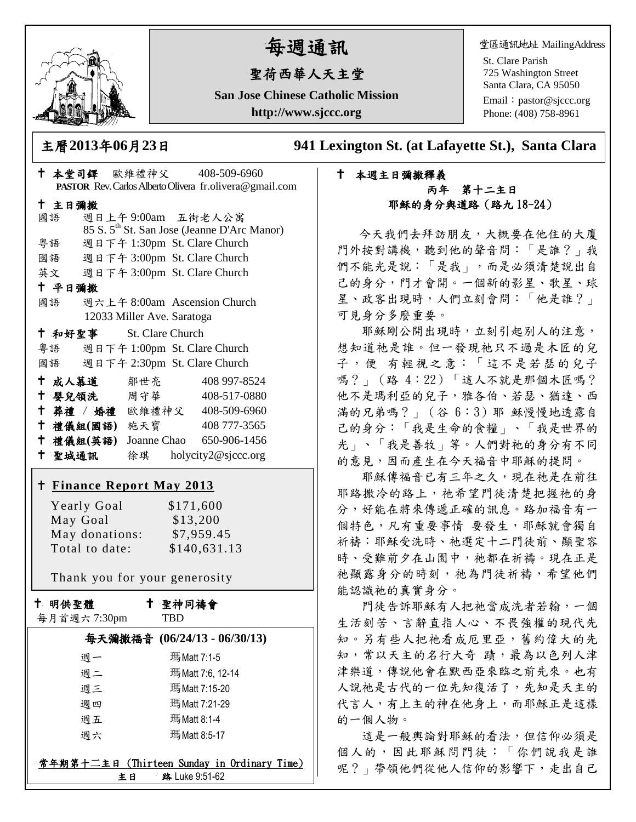

# 每週通訊

# 聖荷西華人天主堂

**San Jose Chinese Catholic Mission http://www.sjccc.org**

堂區通訊地址 MailingAddress

St. Clare Parish 725 Washington Street Santa Clara, CA 95050

Email: [pastor@sjccc.org](mailto:pastor@sjccc.org) Phone: (408) 758-8961

主曆**2013**年**06**月**23**日 **941 Lexington St. (at Lafayette St.), Santa Clara** 

# 本堂司鐸 歐維禮神父 408-509-6960 **PASTOR** Rev. Carlos Alberto Olivera fr.olivera@gmail.com 主日彌撒 國語 週日上午 9:00am 五街老人公寓 85 S. 5th St. San Jose (Jeanne D'Arc Manor) 粵語 週日下午 1:30pm St. Clare Church 國語 週日下午 3:00pm St. Clare Church 英文 週日下午 3:00pm St. Clare Church 平日彌撒 國語 週六上午 8:00am Ascension Church 12033 Miller Ave. Saratoga 和好聖事 St. Clare Church 粵語 週日下午 1:00pm St. Clare Church 國語 週日下午 2:30pm St. Clare Church 十成人慕道 鄒世亮 408 997-8524 十 嬰兒領洗 周守華 408-517-0880 葬禮 / 婚禮 歐維禮神父 408-509-6960 禮儀組**(**國語**)** 施天寶 408 777-3565 禮儀組**(**英語**)** Joanne Chao 650-906-1456 聖城通訊 徐琪 holycity2@sjccc.org **Finance [Report May](http://sjccc.org/index.php/finance.html?src=bulletin112512) 2013**

| Yearly Goal    | \$171,600    |
|----------------|--------------|
| May Goal       | \$13,200     |
| May donations: | \$7,959.45   |
| Total to date: | \$140,631.13 |

Thank you for your generosity

十 明供聖體

 $\frac{1}{2}$ 

 聖神同禱會 **TRD** 

|  |  | 每月首週六7:30pm |
|--|--|-------------|
|--|--|-------------|

|    | 每天彌撒福音 (06/24/13 - 06/30/13)                |
|----|---------------------------------------------|
| 週一 | 瑪Matt 7:1-5                                 |
| 週二 | 瑪Matt 7:6, 12-14                            |
| 週三 | 瑪Matt 7:15-20                               |
| 週四 | 瑪Matt 7:21-29                               |
| 週五 | 瑪Matt 8:1-4                                 |
| 週六 | 瑪Matt 8:5-17                                |
|    |                                             |
|    | 常年期第十二主日 (Thirteen Sunday in Ordinary Time) |
|    |                                             |

主日 路 Luke 9:51-62

#### 本週主日彌撒釋義 丙年 第十二主日 耶穌的身分與道路(路九 18-24)

 今天我們去拜訪朋友,大概要在他住的大廈 門外按對講機,聽到他的聲音問:「是誰?」我 們不能光是說:「是我」,而是必須清楚說出自 己的身分,門才會開。一個新的影星、歌星、球 星、政客出現時,人們立刻會問:「他是誰?」 可見身分多麼重要。

 耶穌剛公開出現時,立刻引起別人的注意, 想知道祂是誰。但一發現祂只不過是木匠的兒 子,便 有輕視之意:「這不是若瑟的兒子 嗎?」(路 4:22)「這人不就是那個木匠嗎? 他不是瑪利亞的兒子,雅各伯、若瑟、猶達、西 滿的兄弟嗎?」(谷 6:3)耶 穌慢慢地透露自 己的身分:「我是生命的食糧」、「我是世界的 光」、「我是善牧」等。人們對祂的身分有不同 的意見,因而產生在今天福音中耶穌的提問。

 耶穌傳福音已有三年之久,現在祂是在前往 耶路撒冷的路上,祂希望門徒清楚把握祂的身 分,好能在將來傳遞正確的訊息。路加福音有一 個特色,凡有重要事情 要發生,耶穌就會獨自 祈禱:耶穌受洗時、祂選定十二門徒前、顯聖容 時、受難前夕在山園中,祂都在祈禱。現在正是 祂顯露身分的時刻,祂為門徒祈禱,希望他們 能認識祂的真實身分。

 門徒告訴耶穌有人把祂當成洗者若翰,一個 生活刻苦、言辭直指人心、不畏強權的現代先 知。另有些人把祂看成厄里亞,舊約偉大的先 知,常以天主的名行大奇 蹟,最為以色列人津 津樂道,傳說他會在默西亞來臨之前先來。也有 人說祂是古代的一位先知復活了,先知是天主的 代言人,有上主的神在他身上,而耶穌正是這樣 的一個人物。

這是一般輿論對耶穌的看法,但信仰必須是 個人的,因此耶穌問門徒:「你們說我是誰 呢?」帶領他們從他人信仰的影響下,走出自己